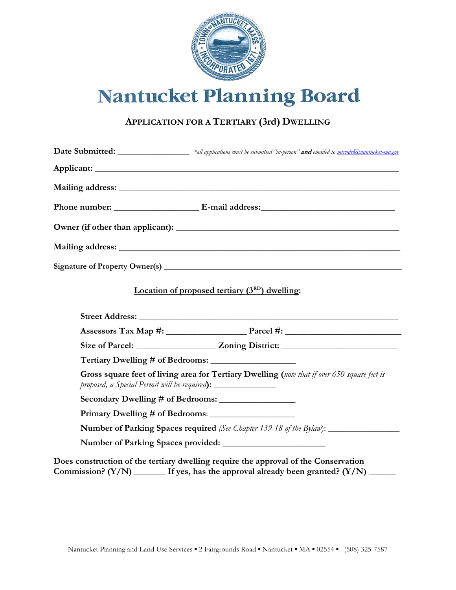

## Nantucket Planning Board

## **APPLICATION FOR A TERTIARY (3rd) DWELLING**

|                                                                                  | <b>Date Submitted:</b> Material Analysis and Engineering and emailed to mirudel@nantucket-ma.gov |
|----------------------------------------------------------------------------------|--------------------------------------------------------------------------------------------------|
|                                                                                  |                                                                                                  |
|                                                                                  |                                                                                                  |
|                                                                                  |                                                                                                  |
|                                                                                  |                                                                                                  |
|                                                                                  |                                                                                                  |
|                                                                                  |                                                                                                  |
|                                                                                  | Location of proposed tertiary $(3RD)$ dwelling:                                                  |
|                                                                                  |                                                                                                  |
|                                                                                  | Assessors Tax Map $\#$ : $\qquad \qquad$ Parcel $\#$ :                                           |
|                                                                                  |                                                                                                  |
|                                                                                  |                                                                                                  |
| proposed, a Special Permit will be required): __________________________________ | Gross square feet of living area for Tertiary Dwelling (note that if over 650 square feet is     |
|                                                                                  |                                                                                                  |
|                                                                                  |                                                                                                  |
|                                                                                  | Number of Parking Spaces required (See Chapter 139-18 of the Bylaw): ____________                |
|                                                                                  |                                                                                                  |
|                                                                                  | Does construction of the tertiary dwelling require the approval of the Conservation              |

**Commission? (Y/N) \_\_\_\_\_\_\_ If yes, has the approval already been granted? (Y/N) \_\_\_\_\_\_**